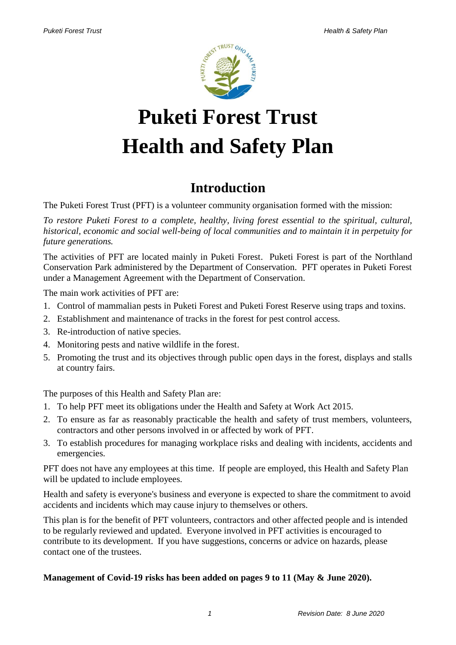

# **Puketi Forest Trust Health and Safety Plan**

# **Introduction**

The Puketi Forest Trust (PFT) is a volunteer community organisation formed with the mission:

*To restore Puketi Forest to a complete, healthy, living forest essential to the spiritual, cultural, historical, economic and social well-being of local communities and to maintain it in perpetuity for future generations.* 

The activities of PFT are located mainly in Puketi Forest. Puketi Forest is part of the Northland Conservation Park administered by the Department of Conservation. PFT operates in Puketi Forest under a Management Agreement with the Department of Conservation.

The main work activities of PFT are:

- 1. Control of mammalian pests in Puketi Forest and Puketi Forest Reserve using traps and toxins.
- 2. Establishment and maintenance of tracks in the forest for pest control access.
- 3. Re-introduction of native species.
- 4. Monitoring pests and native wildlife in the forest.
- 5. Promoting the trust and its objectives through public open days in the forest, displays and stalls at country fairs.

The purposes of this Health and Safety Plan are:

- 1. To help PFT meet its obligations under the Health and Safety at Work Act 2015.
- 2. To ensure as far as reasonably practicable the health and safety of trust members, volunteers, contractors and other persons involved in or affected by work of PFT.
- 3. To establish procedures for managing workplace risks and dealing with incidents, accidents and emergencies.

PFT does not have any employees at this time. If people are employed, this Health and Safety Plan will be updated to include employees.

Health and safety is everyone's business and everyone is expected to share the commitment to avoid accidents and incidents which may cause injury to themselves or others.

This plan is for the benefit of PFT volunteers, contractors and other affected people and is intended to be regularly reviewed and updated. Everyone involved in PFT activities is encouraged to contribute to its development. If you have suggestions, concerns or advice on hazards, please contact one of the trustees.

#### **Management of Covid-19 risks has been added on pages 9 to 11 (May & June 2020).**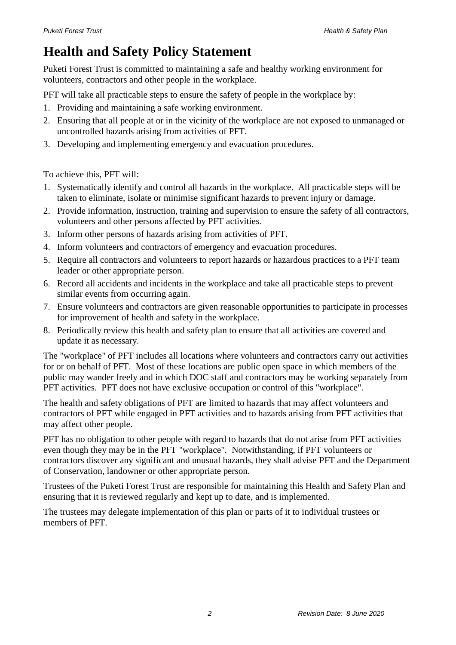# **Health and Safety Policy Statement**

Puketi Forest Trust is committed to maintaining a safe and healthy working environment for volunteers, contractors and other people in the workplace.

PFT will take all practicable steps to ensure the safety of people in the workplace by:

- 1. Providing and maintaining a safe working environment.
- 2. Ensuring that all people at or in the vicinity of the workplace are not exposed to unmanaged or uncontrolled hazards arising from activities of PFT.
- 3. Developing and implementing emergency and evacuation procedures.

To achieve this, PFT will:

- 1. Systematically identify and control all hazards in the workplace. All practicable steps will be taken to eliminate, isolate or minimise significant hazards to prevent injury or damage.
- 2. Provide information, instruction, training and supervision to ensure the safety of all contractors, volunteers and other persons affected by PFT activities.
- 3. Inform other persons of hazards arising from activities of PFT.
- 4. Inform volunteers and contractors of emergency and evacuation procedures.
- 5. Require all contractors and volunteers to report hazards or hazardous practices to a PFT team leader or other appropriate person.
- 6. Record all accidents and incidents in the workplace and take all practicable steps to prevent similar events from occurring again.
- 7. Ensure volunteers and contractors are given reasonable opportunities to participate in processes for improvement of health and safety in the workplace.
- 8. Periodically review this health and safety plan to ensure that all activities are covered and update it as necessary.

The "workplace" of PFT includes all locations where volunteers and contractors carry out activities for or on behalf of PFT. Most of these locations are public open space in which members of the public may wander freely and in which DOC staff and contractors may be working separately from PFT activities. PFT does not have exclusive occupation or control of this "workplace".

The health and safety obligations of PFT are limited to hazards that may affect volunteers and contractors of PFT while engaged in PFT activities and to hazards arising from PFT activities that may affect other people.

PFT has no obligation to other people with regard to hazards that do not arise from PFT activities even though they may be in the PFT "workplace". Notwithstanding, if PFT volunteers or contractors discover any significant and unusual hazards, they shall advise PFT and the Department of Conservation, landowner or other appropriate person.

Trustees of the Puketi Forest Trust are responsible for maintaining this Health and Safety Plan and ensuring that it is reviewed regularly and kept up to date, and is implemented.

The trustees may delegate implementation of this plan or parts of it to individual trustees or members of PFT.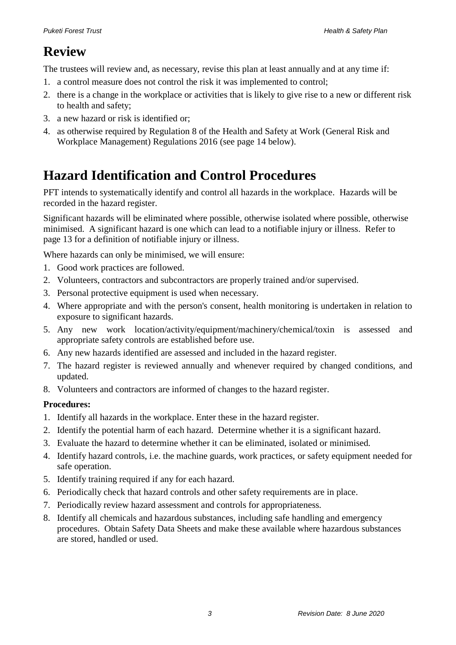### **Review**

The trustees will review and, as necessary, revise this plan at least annually and at any time if:

- 1. a control measure does not control the risk it was implemented to control;
- 2. there is a change in the workplace or activities that is likely to give rise to a new or different risk to health and safety;
- 3. a new hazard or risk is identified or;
- 4. as otherwise required by Regulation 8 of the Health and Safety at Work (General Risk and Workplace Management) Regulations 2016 (see page 14 below).

### **Hazard Identification and Control Procedures**

PFT intends to systematically identify and control all hazards in the workplace. Hazards will be recorded in the hazard register.

Significant hazards will be eliminated where possible, otherwise isolated where possible, otherwise minimised. A significant hazard is one which can lead to a notifiable injury or illness. Refer to page 13 for a definition of notifiable injury or illness.

Where hazards can only be minimised, we will ensure:

- 1. Good work practices are followed.
- 2. Volunteers, contractors and subcontractors are properly trained and/or supervised.
- 3. Personal protective equipment is used when necessary.
- 4. Where appropriate and with the person's consent, health monitoring is undertaken in relation to exposure to significant hazards.
- 5. Any new work location/activity/equipment/machinery/chemical/toxin is assessed and appropriate safety controls are established before use.
- 6. Any new hazards identified are assessed and included in the hazard register.
- 7. The hazard register is reviewed annually and whenever required by changed conditions, and updated.
- 8. Volunteers and contractors are informed of changes to the hazard register.

#### **Procedures:**

- 1. Identify all hazards in the workplace. Enter these in the hazard register.
- 2. Identify the potential harm of each hazard. Determine whether it is a significant hazard.
- 3. Evaluate the hazard to determine whether it can be eliminated, isolated or minimised.
- 4. Identify hazard controls, i.e. the machine guards, work practices, or safety equipment needed for safe operation.
- 5. Identify training required if any for each hazard.
- 6. Periodically check that hazard controls and other safety requirements are in place.
- 7. Periodically review hazard assessment and controls for appropriateness.
- 8. Identify all chemicals and hazardous substances, including safe handling and emergency procedures. Obtain Safety Data Sheets and make these available where hazardous substances are stored, handled or used.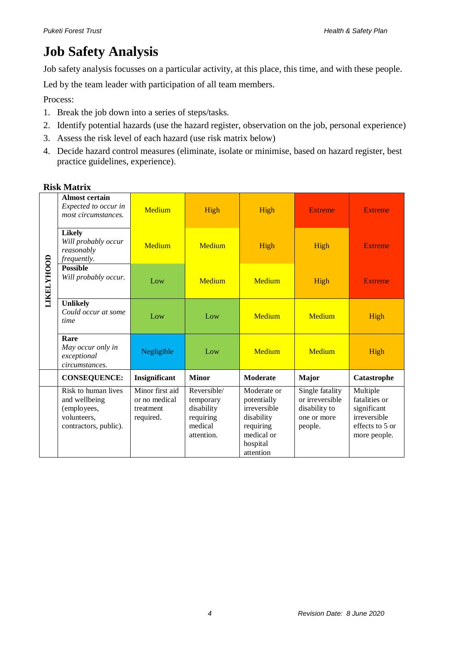# **Job Safety Analysis**

Job safety analysis focusses on a particular activity, at this place, this time, and with these people.

Led by the team leader with participation of all team members.

Process:

- 1. Break the job down into a series of steps/tasks.
- 2. Identify potential hazards (use the hazard register, observation on the job, personal experience)
- 3. Assess the risk level of each hazard (use risk matrix below)
- 4. Decide hazard control measures (eliminate, isolate or minimise, based on hazard register, best practice guidelines, experience).

|                   | <b>Almost certain</b><br>Expected to occur in<br>most circumstances.                        | Medium                                                     | High                                                                         | High                                                                                                         | <b>Extreme</b>                                                                | <b>Extreme</b>                                                                              |
|-------------------|---------------------------------------------------------------------------------------------|------------------------------------------------------------|------------------------------------------------------------------------------|--------------------------------------------------------------------------------------------------------------|-------------------------------------------------------------------------------|---------------------------------------------------------------------------------------------|
|                   | <b>Likely</b><br>Will probably occur<br>reasonably<br>frequently.                           | Medium                                                     | Medium                                                                       | High                                                                                                         | High                                                                          | <b>Extreme</b>                                                                              |
| <b>LIKELYHOOD</b> | <b>Possible</b><br>Will probably occur.                                                     | Low                                                        | <b>Medium</b>                                                                | Medium                                                                                                       | High                                                                          | <b>Extreme</b>                                                                              |
|                   | <b>Unlikely</b><br>Could occur at some<br>time                                              | Low                                                        | Low                                                                          | Medium                                                                                                       | Medium                                                                        | High                                                                                        |
|                   | Rare<br>May occur only in<br>exceptional<br>circumstances.                                  | Negligible                                                 | Low                                                                          | Medium                                                                                                       | Medium                                                                        | High                                                                                        |
|                   | <b>CONSEQUENCE:</b>                                                                         | Insignificant                                              | <b>Minor</b>                                                                 | <b>Moderate</b>                                                                                              | <b>Major</b>                                                                  | Catastrophe                                                                                 |
|                   | Risk to human lives<br>and wellbeing<br>(employees,<br>volunteers,<br>contractors, public). | Minor first aid<br>or no medical<br>treatment<br>required. | Reversible/<br>temporary<br>disability<br>requiring<br>medical<br>attention. | Moderate or<br>potentially<br>irreversible<br>disability<br>requiring<br>medical or<br>hospital<br>attention | Single fatality<br>or irreversible<br>disability to<br>one or more<br>people. | Multiple<br>fatalities or<br>significant<br>irreversible<br>effects to 5 or<br>more people. |

#### **Risk Matrix**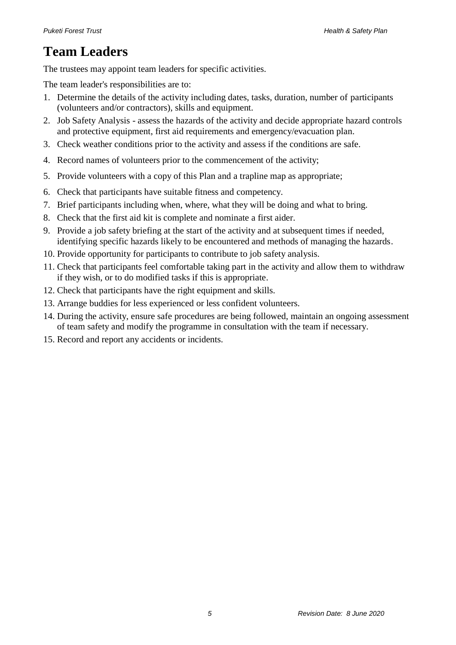# **Team Leaders**

The trustees may appoint team leaders for specific activities.

The team leader's responsibilities are to:

- 1. Determine the details of the activity including dates, tasks, duration, number of participants (volunteers and/or contractors), skills and equipment.
- 2. Job Safety Analysis assess the hazards of the activity and decide appropriate hazard controls and protective equipment, first aid requirements and emergency/evacuation plan.
- 3. Check weather conditions prior to the activity and assess if the conditions are safe.
- 4. Record names of volunteers prior to the commencement of the activity;
- 5. Provide volunteers with a copy of this Plan and a trapline map as appropriate;
- 6. Check that participants have suitable fitness and competency.
- 7. Brief participants including when, where, what they will be doing and what to bring.
- 8. Check that the first aid kit is complete and nominate a first aider.
- 9. Provide a job safety briefing at the start of the activity and at subsequent times if needed, identifying specific hazards likely to be encountered and methods of managing the hazards.
- 10. Provide opportunity for participants to contribute to job safety analysis.
- 11. Check that participants feel comfortable taking part in the activity and allow them to withdraw if they wish, or to do modified tasks if this is appropriate.
- 12. Check that participants have the right equipment and skills.
- 13. Arrange buddies for less experienced or less confident volunteers.
- 14. During the activity, ensure safe procedures are being followed, maintain an ongoing assessment of team safety and modify the programme in consultation with the team if necessary.
- 15. Record and report any accidents or incidents.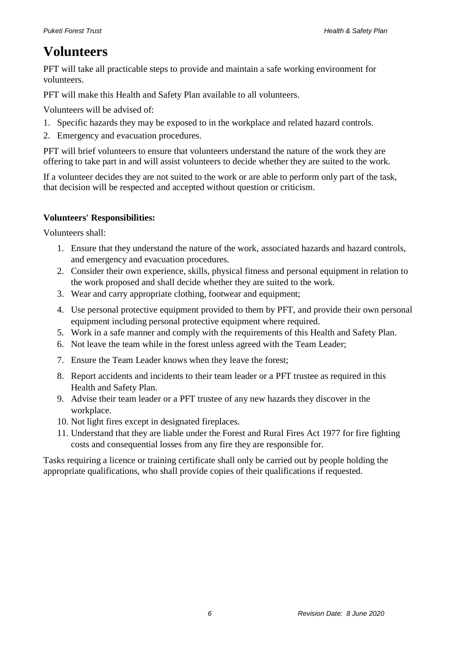### **Volunteers**

PFT will take all practicable steps to provide and maintain a safe working environment for volunteers.

PFT will make this Health and Safety Plan available to all volunteers.

Volunteers will be advised of:

- 1. Specific hazards they may be exposed to in the workplace and related hazard controls.
- 2. Emergency and evacuation procedures.

PFT will brief volunteers to ensure that volunteers understand the nature of the work they are offering to take part in and will assist volunteers to decide whether they are suited to the work.

If a volunteer decides they are not suited to the work or are able to perform only part of the task, that decision will be respected and accepted without question or criticism.

#### **Volunteers' Responsibilities:**

Volunteers shall:

- 1. Ensure that they understand the nature of the work, associated hazards and hazard controls, and emergency and evacuation procedures.
- 2. Consider their own experience, skills, physical fitness and personal equipment in relation to the work proposed and shall decide whether they are suited to the work.
- 3. Wear and carry appropriate clothing, footwear and equipment;
- 4. Use personal protective equipment provided to them by PFT, and provide their own personal equipment including personal protective equipment where required.
- 5. Work in a safe manner and comply with the requirements of this Health and Safety Plan.
- 6. Not leave the team while in the forest unless agreed with the Team Leader;
- 7. Ensure the Team Leader knows when they leave the forest;
- 8. Report accidents and incidents to their team leader or a PFT trustee as required in this Health and Safety Plan.
- 9. Advise their team leader or a PFT trustee of any new hazards they discover in the workplace.
- 10. Not light fires except in designated fireplaces.
- 11. Understand that they are liable under the Forest and Rural Fires Act 1977 for fire fighting costs and consequential losses from any fire they are responsible for.

Tasks requiring a licence or training certificate shall only be carried out by people holding the appropriate qualifications, who shall provide copies of their qualifications if requested.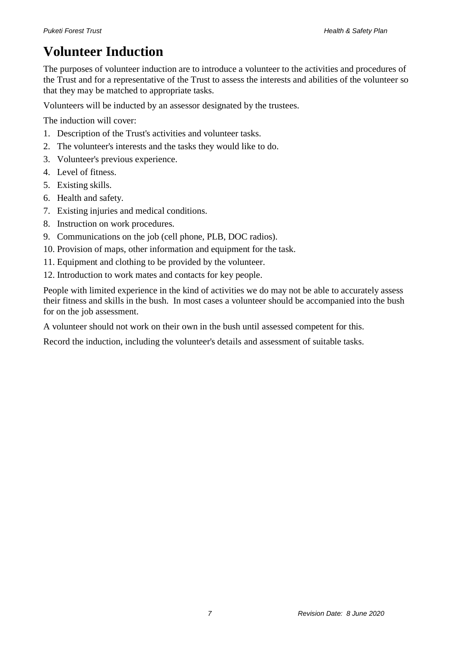# **Volunteer Induction**

The purposes of volunteer induction are to introduce a volunteer to the activities and procedures of the Trust and for a representative of the Trust to assess the interests and abilities of the volunteer so that they may be matched to appropriate tasks.

Volunteers will be inducted by an assessor designated by the trustees.

The induction will cover:

- 1. Description of the Trust's activities and volunteer tasks.
- 2. The volunteer's interests and the tasks they would like to do.
- 3. Volunteer's previous experience.
- 4. Level of fitness.
- 5. Existing skills.
- 6. Health and safety.
- 7. Existing injuries and medical conditions.
- 8. Instruction on work procedures.
- 9. Communications on the job (cell phone, PLB, DOC radios).
- 10. Provision of maps, other information and equipment for the task.
- 11. Equipment and clothing to be provided by the volunteer.
- 12. Introduction to work mates and contacts for key people.

People with limited experience in the kind of activities we do may not be able to accurately assess their fitness and skills in the bush. In most cases a volunteer should be accompanied into the bush for on the job assessment.

A volunteer should not work on their own in the bush until assessed competent for this.

Record the induction, including the volunteer's details and assessment of suitable tasks.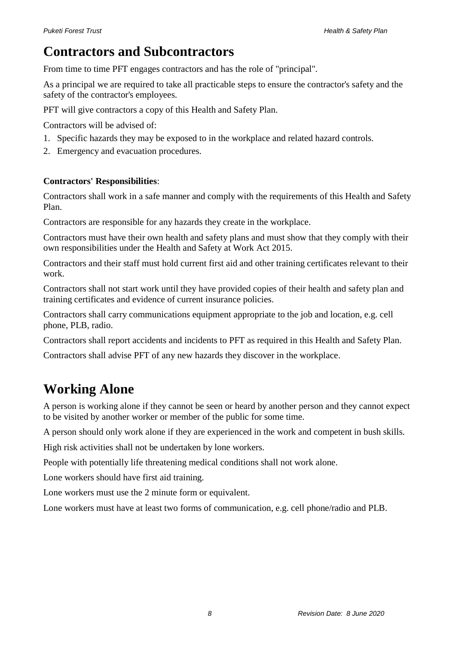### **Contractors and Subcontractors**

From time to time PFT engages contractors and has the role of "principal".

As a principal we are required to take all practicable steps to ensure the contractor's safety and the safety of the contractor's employees.

PFT will give contractors a copy of this Health and Safety Plan.

Contractors will be advised of:

- 1. Specific hazards they may be exposed to in the workplace and related hazard controls.
- 2. Emergency and evacuation procedures.

#### **Contractors' Responsibilities**:

Contractors shall work in a safe manner and comply with the requirements of this Health and Safety Plan.

Contractors are responsible for any hazards they create in the workplace.

Contractors must have their own health and safety plans and must show that they comply with their own responsibilities under the Health and Safety at Work Act 2015.

Contractors and their staff must hold current first aid and other training certificates relevant to their work.

Contractors shall not start work until they have provided copies of their health and safety plan and training certificates and evidence of current insurance policies.

Contractors shall carry communications equipment appropriate to the job and location, e.g. cell phone, PLB, radio.

Contractors shall report accidents and incidents to PFT as required in this Health and Safety Plan.

Contractors shall advise PFT of any new hazards they discover in the workplace.

# **Working Alone**

A person is working alone if they cannot be seen or heard by another person and they cannot expect to be visited by another worker or member of the public for some time.

A person should only work alone if they are experienced in the work and competent in bush skills.

High risk activities shall not be undertaken by lone workers.

People with potentially life threatening medical conditions shall not work alone.

Lone workers should have first aid training.

Lone workers must use the 2 minute form or equivalent.

Lone workers must have at least two forms of communication, e.g. cell phone/radio and PLB.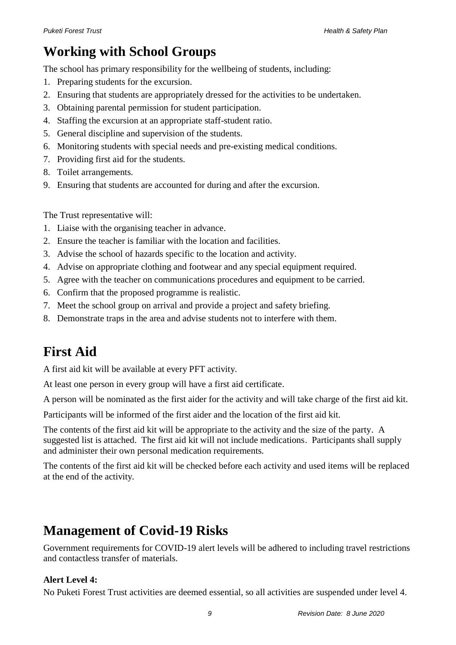# **Working with School Groups**

The school has primary responsibility for the wellbeing of students, including:

- 1. Preparing students for the excursion.
- 2. Ensuring that students are appropriately dressed for the activities to be undertaken.
- 3. Obtaining parental permission for student participation.
- 4. Staffing the excursion at an appropriate staff-student ratio.
- 5. General discipline and supervision of the students.
- 6. Monitoring students with special needs and pre-existing medical conditions.
- 7. Providing first aid for the students.
- 8. Toilet arrangements.
- 9. Ensuring that students are accounted for during and after the excursion.

The Trust representative will:

- 1. Liaise with the organising teacher in advance.
- 2. Ensure the teacher is familiar with the location and facilities.
- 3. Advise the school of hazards specific to the location and activity.
- 4. Advise on appropriate clothing and footwear and any special equipment required.
- 5. Agree with the teacher on communications procedures and equipment to be carried.
- 6. Confirm that the proposed programme is realistic.
- 7. Meet the school group on arrival and provide a project and safety briefing.
- 8. Demonstrate traps in the area and advise students not to interfere with them.

# **First Aid**

A first aid kit will be available at every PFT activity.

At least one person in every group will have a first aid certificate.

A person will be nominated as the first aider for the activity and will take charge of the first aid kit.

Participants will be informed of the first aider and the location of the first aid kit.

The contents of the first aid kit will be appropriate to the activity and the size of the party. A suggested list is attached. The first aid kit will not include medications. Participants shall supply and administer their own personal medication requirements.

The contents of the first aid kit will be checked before each activity and used items will be replaced at the end of the activity.

# **Management of Covid-19 Risks**

Government requirements for COVID-19 alert levels will be adhered to including travel restrictions and contactless transfer of materials.

#### **Alert Level 4:**

No Puketi Forest Trust activities are deemed essential, so all activities are suspended under level 4.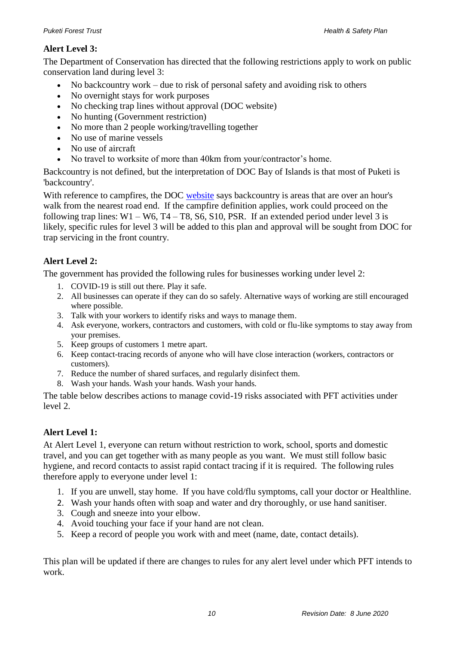#### **Alert Level 3:**

The Department of Conservation has directed that the following restrictions apply to work on public conservation land during level 3:

- No backcountry work due to risk of personal safety and avoiding risk to others
- No overnight stays for work purposes
- No checking trap lines without approval (DOC website)
- No hunting (Government restriction)
- No more than 2 people working/travelling together
- No use of marine vessels
- No use of aircraft
- No travel to worksite of more than 40km from your/contractor's home.

Backcountry is not defined, but the interpretation of DOC Bay of Islands is that most of Puketi is 'backcountry'.

With reference to campfires, the DOC [website](https://www.doc.govt.nz/parks-and-recreation/know-before-you-go/fires/) says backcountry is areas that are over an hour's walk from the nearest road end. If the campfire definition applies, work could proceed on the following trap lines:  $W1 - W6$ ,  $T4 - T8$ ,  $S6$ ,  $S10$ ,  $PSR$ . If an extended period under level 3 is likely, specific rules for level 3 will be added to this plan and approval will be sought from DOC for trap servicing in the front country.

#### **Alert Level 2:**

The government has provided the following rules for businesses working under level 2:

- 1. COVID-19 is still out there. Play it safe.
- 2. All businesses can operate if they can do so safely. Alternative ways of working are still encouraged where possible.
- 3. Talk with your workers to identify risks and ways to manage them.
- 4. Ask everyone, workers, contractors and customers, with cold or flu-like symptoms to stay away from your premises.
- 5. Keep groups of customers 1 metre apart.
- 6. Keep contact-tracing records of anyone who will have close interaction (workers, contractors or customers).
- 7. Reduce the number of shared surfaces, and regularly disinfect them.
- 8. Wash your hands. Wash your hands. Wash your hands.

The table below describes actions to manage covid-19 risks associated with PFT activities under level 2.

#### **Alert Level 1:**

At Alert Level 1, everyone can return without restriction to work, school, sports and domestic travel, and you can get together with as many people as you want. We must still follow basic hygiene, and record contacts to assist rapid contact tracing if it is required. The following rules therefore apply to everyone under level 1:

- 1. If you are unwell, stay home. If you have cold/flu symptoms, call your doctor or Healthline.
- 2. Wash your hands often with soap and water and dry thoroughly, or use hand sanitiser.
- 3. Cough and sneeze into your elbow.
- 4. Avoid touching your face if your hand are not clean.
- 5. Keep a record of people you work with and meet (name, date, contact details).

This plan will be updated if there are changes to rules for any alert level under which PFT intends to work.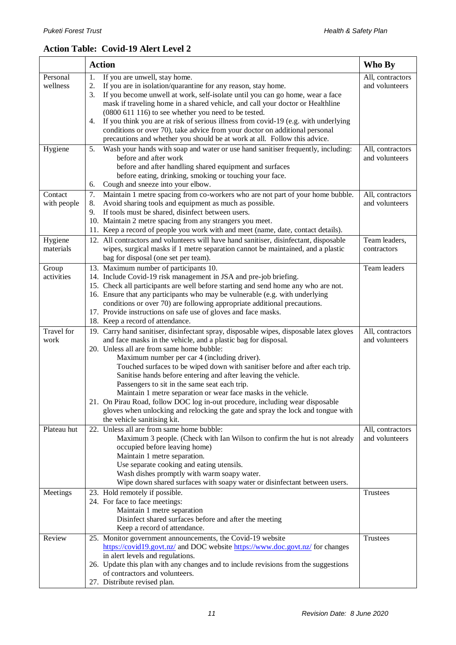#### **Action Table: Covid-19 Alert Level 2**

|             | <b>Action</b>                                                                                                                                                    | Who By           |
|-------------|------------------------------------------------------------------------------------------------------------------------------------------------------------------|------------------|
| Personal    | 1.<br>If you are unwell, stay home.                                                                                                                              | All, contractors |
| wellness    | If you are in isolation/quarantine for any reason, stay home.<br>2.                                                                                              | and volunteers   |
|             | If you become unwell at work, self-isolate until you can go home, wear a face<br>3.                                                                              |                  |
|             | mask if traveling home in a shared vehicle, and call your doctor or Healthline                                                                                   |                  |
|             | (0800 611 116) to see whether you need to be tested.                                                                                                             |                  |
|             | If you think you are at risk of serious illness from covid-19 (e.g. with underlying<br>4.                                                                        |                  |
|             | conditions or over 70), take advice from your doctor on additional personal<br>precautions and whether you should be at work at all. Follow this advice.         |                  |
| Hygiene     | Wash your hands with soap and water or use hand sanitiser frequently, including:<br>5.                                                                           | All, contractors |
|             | before and after work                                                                                                                                            | and volunteers   |
|             | before and after handling shared equipment and surfaces                                                                                                          |                  |
|             | before eating, drinking, smoking or touching your face.                                                                                                          |                  |
|             | Cough and sneeze into your elbow.<br>6.                                                                                                                          |                  |
| Contact     | Maintain 1 metre spacing from co-workers who are not part of your home bubble.<br>7.                                                                             | All, contractors |
| with people | Avoid sharing tools and equipment as much as possible.<br>8.                                                                                                     | and volunteers   |
|             | If tools must be shared, disinfect between users.<br>9.<br>10. Maintain 2 metre spacing from any strangers you meet.                                             |                  |
|             | 11. Keep a record of people you work with and meet (name, date, contact details).                                                                                |                  |
| Hygiene     | 12. All contractors and volunteers will have hand sanitiser, disinfectant, disposable                                                                            | Team leaders,    |
| materials   | wipes, surgical masks if 1 metre separation cannot be maintained, and a plastic                                                                                  | contractors      |
|             | bag for disposal (one set per team).                                                                                                                             |                  |
| Group       | 13. Maximum number of participants 10.                                                                                                                           | Team leaders     |
| activities  | 14. Include Covid-19 risk management in JSA and pre-job briefing.                                                                                                |                  |
|             | 15. Check all participants are well before starting and send home any who are not.                                                                               |                  |
|             | 16. Ensure that any participants who may be vulnerable (e.g. with underlying                                                                                     |                  |
|             | conditions or over 70) are following appropriate additional precautions.                                                                                         |                  |
|             | 17. Provide instructions on safe use of gloves and face masks.<br>18. Keep a record of attendance.                                                               |                  |
| Travel for  | 19. Carry hand sanitiser, disinfectant spray, disposable wipes, disposable latex gloves                                                                          | All, contractors |
| work        | and face masks in the vehicle, and a plastic bag for disposal.                                                                                                   | and volunteers   |
|             | 20. Unless all are from same home bubble:                                                                                                                        |                  |
|             | Maximum number per car 4 (including driver).                                                                                                                     |                  |
|             | Touched surfaces to be wiped down with sanitiser before and after each trip.                                                                                     |                  |
|             | Sanitise hands before entering and after leaving the vehicle.                                                                                                    |                  |
|             | Passengers to sit in the same seat each trip.                                                                                                                    |                  |
|             | Maintain 1 metre separation or wear face masks in the vehicle.                                                                                                   |                  |
|             | 21. On Pirau Road, follow DOC log in-out procedure, including wear disposable<br>gloves when unlocking and relocking the gate and spray the lock and tongue with |                  |
|             | the vehicle sanitising kit.                                                                                                                                      |                  |
| Plateau hut | 22. Unless all are from same home bubble:                                                                                                                        | All, contractors |
|             | Maximum 3 people. (Check with Ian Wilson to confirm the hut is not already                                                                                       | and volunteers   |
|             | occupied before leaving home)                                                                                                                                    |                  |
|             | Maintain 1 metre separation.                                                                                                                                     |                  |
|             | Use separate cooking and eating utensils.                                                                                                                        |                  |
|             | Wash dishes promptly with warm soapy water.                                                                                                                      |                  |
|             | Wipe down shared surfaces with soapy water or disinfectant between users.                                                                                        |                  |
| Meetings    | 23. Hold remotely if possible.<br>24. For face to face meetings:                                                                                                 | Trustees         |
|             | Maintain 1 metre separation                                                                                                                                      |                  |
|             | Disinfect shared surfaces before and after the meeting                                                                                                           |                  |
|             | Keep a record of attendance.                                                                                                                                     |                  |
| Review      | 25. Monitor government announcements, the Covid-19 website                                                                                                       | Trustees         |
|             | https://covid19.govt.nz/ and DOC website https://www.doc.govt.nz/ for changes                                                                                    |                  |
|             | in alert levels and regulations.<br>26. Update this plan with any changes and to include revisions from the suggestions                                          |                  |
|             | of contractors and volunteers.                                                                                                                                   |                  |
|             | 27. Distribute revised plan.                                                                                                                                     |                  |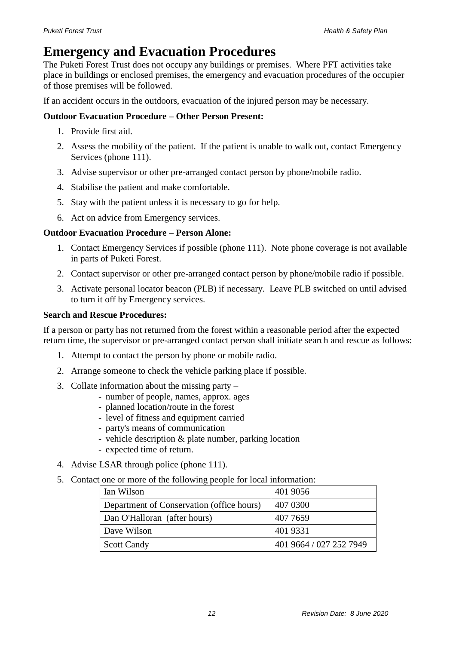### **Emergency and Evacuation Procedures**

The Puketi Forest Trust does not occupy any buildings or premises. Where PFT activities take place in buildings or enclosed premises, the emergency and evacuation procedures of the occupier of those premises will be followed.

If an accident occurs in the outdoors, evacuation of the injured person may be necessary.

#### **Outdoor Evacuation Procedure – Other Person Present:**

- 1. Provide first aid.
- 2. Assess the mobility of the patient. If the patient is unable to walk out, contact Emergency Services (phone 111).
- 3. Advise supervisor or other pre-arranged contact person by phone/mobile radio.
- 4. Stabilise the patient and make comfortable.
- 5. Stay with the patient unless it is necessary to go for help.
- 6. Act on advice from Emergency services.

#### **Outdoor Evacuation Procedure – Person Alone:**

- 1. Contact Emergency Services if possible (phone 111). Note phone coverage is not available in parts of Puketi Forest.
- 2. Contact supervisor or other pre-arranged contact person by phone/mobile radio if possible.
- 3. Activate personal locator beacon (PLB) if necessary. Leave PLB switched on until advised to turn it off by Emergency services.

#### **Search and Rescue Procedures:**

If a person or party has not returned from the forest within a reasonable period after the expected return time, the supervisor or pre-arranged contact person shall initiate search and rescue as follows:

- 1. Attempt to contact the person by phone or mobile radio.
- 2. Arrange someone to check the vehicle parking place if possible.
- 3. Collate information about the missing party
	- number of people, names, approx. ages
	- planned location/route in the forest
	- level of fitness and equipment carried
	- party's means of communication
	- vehicle description & plate number, parking location
	- expected time of return.
- 4. Advise LSAR through police (phone 111).
- 5. Contact one or more of the following people for local information:

| Ian Wilson                                | 401 9056                |
|-------------------------------------------|-------------------------|
| Department of Conservation (office hours) | 407 0300                |
| Dan O'Halloran (after hours)              | 407 7659                |
| Dave Wilson                               | 401 9331                |
| <b>Scott Candy</b>                        | 401 9664 / 027 252 7949 |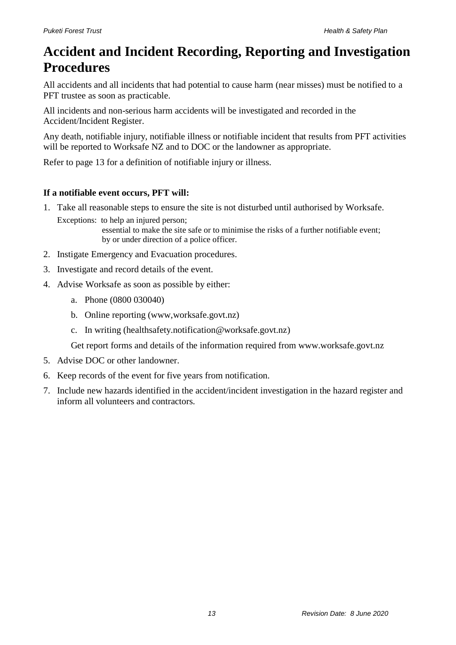### **Accident and Incident Recording, Reporting and Investigation Procedures**

All accidents and all incidents that had potential to cause harm (near misses) must be notified to a PFT trustee as soon as practicable.

All incidents and non-serious harm accidents will be investigated and recorded in the Accident/Incident Register.

Any death, notifiable injury, notifiable illness or notifiable incident that results from PFT activities will be reported to Worksafe NZ and to DOC or the landowner as appropriate.

Refer to page 13 for a definition of notifiable injury or illness.

#### **If a notifiable event occurs, PFT will:**

1. Take all reasonable steps to ensure the site is not disturbed until authorised by Worksafe.

Exceptions: to help an injured person; essential to make the site safe or to minimise the risks of a further notifiable event; by or under direction of a police officer.

- 2. Instigate Emergency and Evacuation procedures.
- 3. Investigate and record details of the event.
- 4. Advise Worksafe as soon as possible by either:
	- a. Phone (0800 030040)
	- b. Online reporting (www,worksafe.govt.nz)
	- c. In writing (healthsafety.notification@worksafe.govt.nz)

Get report forms and details of the information required from www.worksafe.govt.nz

- 5. Advise DOC or other landowner.
- 6. Keep records of the event for five years from notification.
- 7. Include new hazards identified in the accident/incident investigation in the hazard register and inform all volunteers and contractors.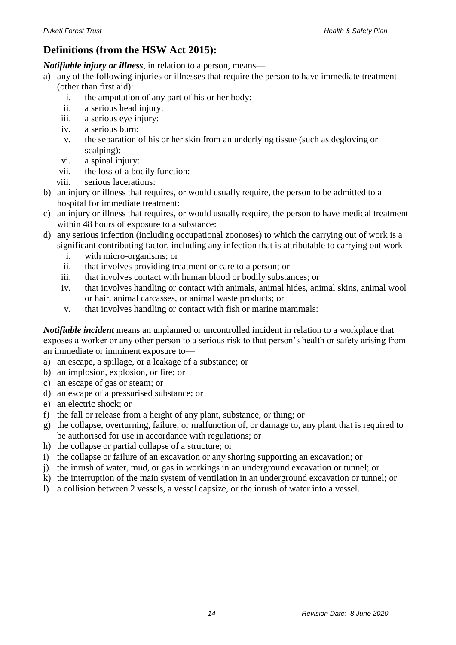#### **Definitions (from the HSW Act 2015):**

*Notifiable injury or illness*, in relation to a person, means—

- a) any of the following injuries or illnesses that require the person to have immediate treatment (other than first aid):
	- i. the amputation of any part of his or her body:
	- ii. a serious head injury:
	- iii. a serious eye injury:
	- iv. a serious burn:
	- v. the separation of his or her skin from an underlying tissue (such as degloving or scalping):
	- vi. a spinal injury:
	- vii. the loss of a bodily function:
	- viii. serious lacerations:
- b) an injury or illness that requires, or would usually require, the person to be admitted to a hospital for immediate treatment:
- c) an injury or illness that requires, or would usually require, the person to have medical treatment within 48 hours of exposure to a substance:
- d) any serious infection (including occupational zoonoses) to which the carrying out of work is a significant contributing factor, including any infection that is attributable to carrying out work
	- i. with micro-organisms; or
	- ii. that involves providing treatment or care to a person; or
	- iii. that involves contact with human blood or bodily substances; or
	- iv. that involves handling or contact with animals, animal hides, animal skins, animal wool or hair, animal carcasses, or animal waste products; or
	- v. that involves handling or contact with fish or marine mammals:

*Notifiable incident* means an unplanned or uncontrolled incident in relation to a workplace that exposes a worker or any other person to a serious risk to that person's health or safety arising from an immediate or imminent exposure to—

- a) an escape, a spillage, or a leakage of a substance; or
- b) an implosion, explosion, or fire; or
- c) an escape of gas or steam; or
- d) an escape of a pressurised substance; or
- e) an electric shock; or
- f) the fall or release from a height of any plant, substance, or thing; or
- g) the collapse, overturning, failure, or malfunction of, or damage to, any plant that is required to be authorised for use in accordance with regulations; or
- h) the collapse or partial collapse of a structure; or
- i) the collapse or failure of an excavation or any shoring supporting an excavation; or
- j) the inrush of water, mud, or gas in workings in an underground excavation or tunnel; or
- k) the interruption of the main system of ventilation in an underground excavation or tunnel; or
- l) a collision between 2 vessels, a vessel capsize, or the inrush of water into a vessel.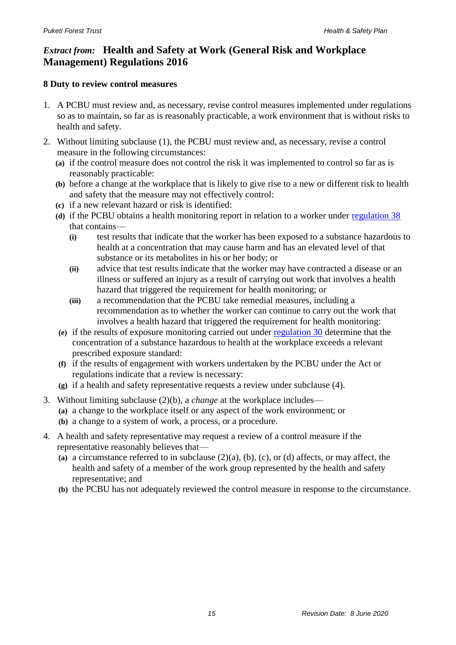#### *Extract from:* **Health and Safety at Work (General Risk and Workplace Management) Regulations 2016**

#### **8 Duty to review control measures**

- 1. A PCBU must review and, as necessary, revise control measures implemented under regulations so as to maintain, so far as is reasonably practicable, a work environment that is without risks to health and safety.
- 2. Without limiting subclause (1), the PCBU must review and, as necessary, revise a control measure in the following circumstances:
	- **(a)** if the control measure does not control the risk it was implemented to control so far as is reasonably practicable:
	- **(b)** before a change at the workplace that is likely to give rise to a new or different risk to health and safety that the measure may not effectively control:
	- **(c)** if a new relevant hazard or risk is identified:
	- (d) if the PCBU obtains a health monitoring report in relation to a worker under [regulation 38](http://www.legislation.govt.nz/regulation/public/2016/0013/latest/link.aspx?id=DLM6727313#DLM6727313) that contains—
		- **(i)** test results that indicate that the worker has been exposed to a substance hazardous to health at a concentration that may cause harm and has an elevated level of that substance or its metabolites in his or her body; or
		- **(ii)** advice that test results indicate that the worker may have contracted a disease or an illness or suffered an injury as a result of carrying out work that involves a health hazard that triggered the requirement for health monitoring; or
		- **(iii)** a recommendation that the PCBU take remedial measures, including a recommendation as to whether the worker can continue to carry out the work that involves a health hazard that triggered the requirement for health monitoring:
	- **(e)** if the results of exposure monitoring carried out under [regulation 30](http://www.legislation.govt.nz/regulation/public/2016/0013/latest/link.aspx?id=DLM6727315#DLM6727315) determine that the concentration of a substance hazardous to health at the workplace exceeds a relevant prescribed exposure standard:
	- **(f)** if the results of engagement with workers undertaken by the PCBU under the Act or regulations indicate that a review is necessary:
	- **(g)** if a health and safety representative requests a review under subclause (4).
- 3. Without limiting subclause (2)(b), a *change* at the workplace includes—
	- **(a)** a change to the workplace itself or any aspect of the work environment; or
	- **(b)** a change to a system of work, a process, or a procedure.
- 4. A health and safety representative may request a review of a control measure if the representative reasonably believes that—
	- **(a)** a circumstance referred to in subclause (2)(a), (b), (c), or (d) affects, or may affect, the health and safety of a member of the work group represented by the health and safety representative; and
	- **(b)** the PCBU has not adequately reviewed the control measure in response to the circumstance.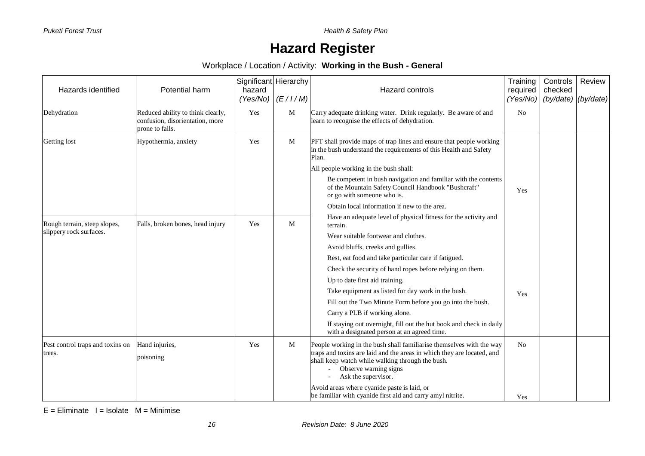**Puketi Forest Trust** *Puketi Forest Trust* 

### **Hazard Register**

Workplace / Location / Activity: **Working in the Bush - General**

| Hazards identified                         | Potential harm                                                                          | Significant Hierarchy<br>hazard | $(Yes/No)$ $(E/1/M)$ | Hazard controls                                                                                                                                                                                                                                                                                                     | Training<br>required<br>(Yes/No) | Controls<br>checked<br>(by/date) | Review<br>(by/date) |
|--------------------------------------------|-----------------------------------------------------------------------------------------|---------------------------------|----------------------|---------------------------------------------------------------------------------------------------------------------------------------------------------------------------------------------------------------------------------------------------------------------------------------------------------------------|----------------------------------|----------------------------------|---------------------|
| Dehydration                                | Reduced ability to think clearly,<br>confusion, disorientation, more<br>prone to falls. | Yes                             | M                    | Carry adequate drinking water. Drink regularly. Be aware of and<br>learn to recognise the effects of dehydration.                                                                                                                                                                                                   | No                               |                                  |                     |
| Getting lost                               | Hypothermia, anxiety                                                                    | Yes                             | M                    | PFT shall provide maps of trap lines and ensure that people working<br>in the bush understand the requirements of this Health and Safety<br>Plan.<br>All people working in the bush shall:<br>Be competent in bush navigation and familiar with the contents<br>of the Mountain Safety Council Handbook "Bushcraft" |                                  |                                  |                     |
|                                            |                                                                                         |                                 |                      | or go with someone who is.                                                                                                                                                                                                                                                                                          | Yes                              |                                  |                     |
|                                            |                                                                                         |                                 |                      | Obtain local information if new to the area.                                                                                                                                                                                                                                                                        |                                  |                                  |                     |
| Rough terrain, steep slopes,               | Falls, broken bones, head injury                                                        | Yes                             | M                    | Have an adequate level of physical fitness for the activity and<br>terrain.                                                                                                                                                                                                                                         |                                  |                                  |                     |
| slippery rock surfaces.                    |                                                                                         |                                 |                      | Wear suitable footwear and clothes.                                                                                                                                                                                                                                                                                 |                                  |                                  |                     |
|                                            |                                                                                         |                                 |                      | Avoid bluffs, creeks and gullies.                                                                                                                                                                                                                                                                                   |                                  |                                  |                     |
|                                            |                                                                                         |                                 |                      | Rest, eat food and take particular care if fatigued.                                                                                                                                                                                                                                                                |                                  |                                  |                     |
|                                            |                                                                                         |                                 |                      | Check the security of hand ropes before relying on them.                                                                                                                                                                                                                                                            |                                  |                                  |                     |
|                                            |                                                                                         |                                 |                      | Up to date first aid training.                                                                                                                                                                                                                                                                                      |                                  |                                  |                     |
|                                            |                                                                                         |                                 |                      | Take equipment as listed for day work in the bush.                                                                                                                                                                                                                                                                  | Yes                              |                                  |                     |
|                                            |                                                                                         |                                 |                      | Fill out the Two Minute Form before you go into the bush.                                                                                                                                                                                                                                                           |                                  |                                  |                     |
|                                            |                                                                                         |                                 |                      | Carry a PLB if working alone.                                                                                                                                                                                                                                                                                       |                                  |                                  |                     |
|                                            |                                                                                         |                                 |                      | If staying out overnight, fill out the hut book and check in daily<br>with a designated person at an agreed time.                                                                                                                                                                                                   |                                  |                                  |                     |
| Pest control traps and toxins on<br>trees. | Hand injuries,<br>poisoning                                                             | Yes                             | M                    | People working in the bush shall familiarise themselves with the way<br>traps and toxins are laid and the areas in which they are located, and<br>shall keep watch while walking through the bush.<br>- Observe warning signs<br>Ask the supervisor.                                                                | N <sub>o</sub>                   |                                  |                     |
|                                            |                                                                                         |                                 |                      | Avoid areas where cyanide paste is laid, or<br>be familiar with cyanide first aid and carry amyl nitrite.                                                                                                                                                                                                           | Yes                              |                                  |                     |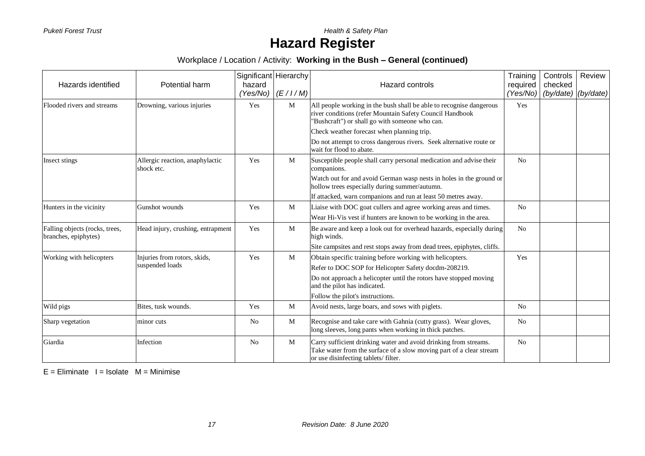**Puketi Forest Trust** *Puketi Forest Trust* 

# **Hazard Register**

Workplace / Location / Activity: **Working in the Bush – General (continued)**

| Hazards identified                                     | Potential harm                                | Significant Hierarchy<br>hazard<br>(Yes/No) | (E/I/M) | Hazard controls                                                                                                                                                                   | Training<br>required<br>(Yes/No) | Controls<br>checked<br>(by/date) (by/date) | Review |
|--------------------------------------------------------|-----------------------------------------------|---------------------------------------------|---------|-----------------------------------------------------------------------------------------------------------------------------------------------------------------------------------|----------------------------------|--------------------------------------------|--------|
| Flooded rivers and streams                             | Drowning, various injuries                    | Yes                                         | M       | All people working in the bush shall be able to recognise dangerous<br>river conditions (refer Mountain Safety Council Handbook<br>"Bushcraft") or shall go with someone who can. | Yes                              |                                            |        |
|                                                        |                                               |                                             |         | Check weather forecast when planning trip.                                                                                                                                        |                                  |                                            |        |
|                                                        |                                               |                                             |         | Do not attempt to cross dangerous rivers. Seek alternative route or<br>wait for flood to abate.                                                                                   |                                  |                                            |        |
| Insect stings                                          | Allergic reaction, anaphylactic<br>shock etc. | Yes                                         | M       | Susceptible people shall carry personal medication and advise their<br>companions.                                                                                                | N <sub>o</sub>                   |                                            |        |
|                                                        |                                               |                                             |         | Watch out for and avoid German wasp nests in holes in the ground or<br>hollow trees especially during summer/autumn.                                                              |                                  |                                            |        |
|                                                        |                                               |                                             |         | If attacked, warn companions and run at least 50 metres away.                                                                                                                     |                                  |                                            |        |
| Hunters in the vicinity                                | Gunshot wounds                                | Yes                                         | M       | Liaise with DOC goat cullers and agree working areas and times.                                                                                                                   | N <sub>o</sub>                   |                                            |        |
|                                                        |                                               |                                             |         | Wear Hi-Vis vest if hunters are known to be working in the area.                                                                                                                  |                                  |                                            |        |
| Falling objects (rocks, trees,<br>branches, epiphytes) | Head injury, crushing, entrapment             | Yes                                         | M       | Be aware and keep a look out for overhead hazards, especially during<br>high winds.                                                                                               | No                               |                                            |        |
|                                                        |                                               |                                             |         | Site campsites and rest stops away from dead trees, epiphytes, cliffs.                                                                                                            |                                  |                                            |        |
| Working with helicopters                               | Injuries from rotors, skids,                  | Yes                                         | M       | Obtain specific training before working with helicopters.                                                                                                                         | Yes                              |                                            |        |
|                                                        | suspended loads                               |                                             |         | Refer to DOC SOP for Helicopter Safety docdm-208219.                                                                                                                              |                                  |                                            |        |
|                                                        |                                               |                                             |         | Do not approach a helicopter until the rotors have stopped moving<br>and the pilot has indicated.                                                                                 |                                  |                                            |        |
|                                                        |                                               |                                             |         | Follow the pilot's instructions.                                                                                                                                                  |                                  |                                            |        |
| Wild pigs                                              | Bites, tusk wounds.                           | Yes                                         | M       | Avoid nests, large boars, and sows with piglets.                                                                                                                                  | N <sub>o</sub>                   |                                            |        |
| Sharp vegetation                                       | minor cuts                                    | N <sub>0</sub>                              | M       | Recognise and take care with Gahnia (cutty grass). Wear gloves,<br>long sleeves, long pants when working in thick patches.                                                        | N <sub>o</sub>                   |                                            |        |
| Giardia                                                | Infection                                     | No                                          | M       | Carry sufficient drinking water and avoid drinking from streams.<br>Take water from the surface of a slow moving part of a clear stream<br>or use disinfecting tablets/filter.    | N <sub>0</sub>                   |                                            |        |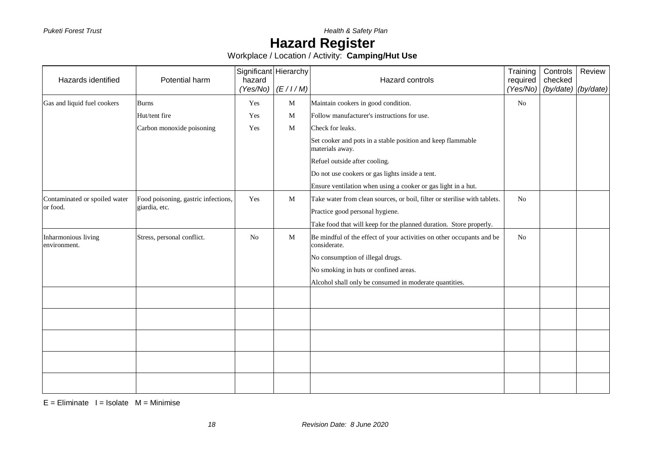### **Hazard Register**

Workplace / Location / Activity: **Camping/Hut Use**

| Hazards identified                  | Potential harm                      | Significant Hierarchy<br>hazard<br>(Yes/No) | (E/I/M) | Hazard controls                                                                       | Training<br>required<br>(Yes/No) | Controls<br>checked<br>(by/date) | Review<br>(by/date) |
|-------------------------------------|-------------------------------------|---------------------------------------------|---------|---------------------------------------------------------------------------------------|----------------------------------|----------------------------------|---------------------|
| Gas and liquid fuel cookers         | <b>Burns</b>                        | Yes                                         | M       | Maintain cookers in good condition.                                                   | N <sub>o</sub>                   |                                  |                     |
|                                     | Hut/tent fire                       | Yes                                         | M       | Follow manufacturer's instructions for use.                                           |                                  |                                  |                     |
|                                     | Carbon monoxide poisoning           | Yes                                         | M       | Check for leaks.                                                                      |                                  |                                  |                     |
|                                     |                                     |                                             |         | Set cooker and pots in a stable position and keep flammable<br>materials away.        |                                  |                                  |                     |
|                                     |                                     |                                             |         | Refuel outside after cooling.                                                         |                                  |                                  |                     |
|                                     |                                     |                                             |         | Do not use cookers or gas lights inside a tent.                                       |                                  |                                  |                     |
|                                     |                                     |                                             |         | Ensure ventilation when using a cooker or gas light in a hut.                         |                                  |                                  |                     |
| Contaminated or spoiled water       | Food poisoning, gastric infections, | Yes                                         | M       | Take water from clean sources, or boil, filter or sterilise with tablets.             | N <sub>o</sub>                   |                                  |                     |
| or food.                            | giardia, etc.                       |                                             |         | Practice good personal hygiene.                                                       |                                  |                                  |                     |
|                                     |                                     |                                             |         | Take food that will keep for the planned duration. Store properly.                    |                                  |                                  |                     |
| Inharmonious living<br>environment. | Stress, personal conflict.          | N <sub>o</sub>                              | M       | Be mindful of the effect of your activities on other occupants and be<br>considerate. | No                               |                                  |                     |
|                                     |                                     |                                             |         | No consumption of illegal drugs.                                                      |                                  |                                  |                     |
|                                     |                                     |                                             |         | No smoking in huts or confined areas.                                                 |                                  |                                  |                     |
|                                     |                                     |                                             |         | Alcohol shall only be consumed in moderate quantities.                                |                                  |                                  |                     |
|                                     |                                     |                                             |         |                                                                                       |                                  |                                  |                     |
|                                     |                                     |                                             |         |                                                                                       |                                  |                                  |                     |
|                                     |                                     |                                             |         |                                                                                       |                                  |                                  |                     |
|                                     |                                     |                                             |         |                                                                                       |                                  |                                  |                     |
|                                     |                                     |                                             |         |                                                                                       |                                  |                                  |                     |
|                                     |                                     |                                             |         |                                                                                       |                                  |                                  |                     |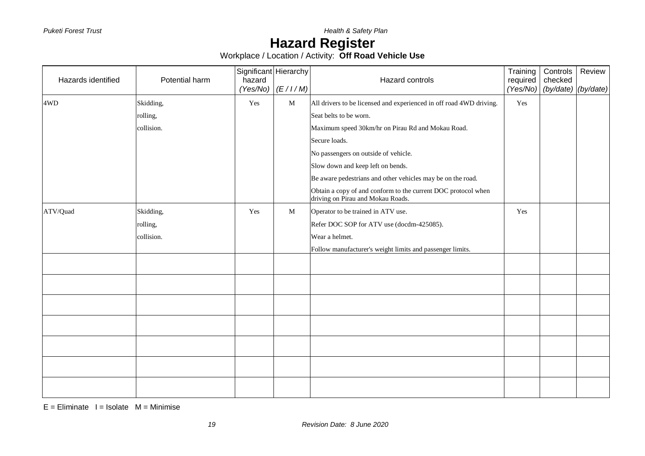# **Hazard Register**

Workplace / Location / Activity: **Off Road Vehicle Use**

| Hazards identified | Potential harm | Significant Hierarchy<br>hazard |                      | Hazard controls                                                                                    | Training<br>required | Controls<br>checked | Review |
|--------------------|----------------|---------------------------------|----------------------|----------------------------------------------------------------------------------------------------|----------------------|---------------------|--------|
|                    |                |                                 | $(Yes/No)$ $(E/1/M)$ |                                                                                                    | (Yes/No)             | (by/date) (by/date) |        |
| 4WD                | Skidding,      | Yes                             | $\mathbf M$          | All drivers to be licensed and experienced in off road 4WD driving.                                | Yes                  |                     |        |
|                    | rolling,       |                                 |                      | Seat belts to be worn.                                                                             |                      |                     |        |
|                    | collision.     |                                 |                      | Maximum speed 30km/hr on Pirau Rd and Mokau Road.                                                  |                      |                     |        |
|                    |                |                                 |                      | Secure loads.                                                                                      |                      |                     |        |
|                    |                |                                 |                      | No passengers on outside of vehicle.                                                               |                      |                     |        |
|                    |                |                                 |                      | Slow down and keep left on bends.                                                                  |                      |                     |        |
|                    |                |                                 |                      | Be aware pedestrians and other vehicles may be on the road.                                        |                      |                     |        |
|                    |                |                                 |                      | Obtain a copy of and conform to the current DOC protocol when<br>driving on Pirau and Mokau Roads. |                      |                     |        |
| ATV/Quad           | Skidding,      | Yes                             | M                    | Operator to be trained in ATV use.                                                                 | Yes                  |                     |        |
|                    | rolling,       |                                 |                      | Refer DOC SOP for ATV use (docdm-425085).                                                          |                      |                     |        |
|                    | collision.     |                                 |                      | Wear a helmet.                                                                                     |                      |                     |        |
|                    |                |                                 |                      | Follow manufacturer's weight limits and passenger limits.                                          |                      |                     |        |
|                    |                |                                 |                      |                                                                                                    |                      |                     |        |
|                    |                |                                 |                      |                                                                                                    |                      |                     |        |
|                    |                |                                 |                      |                                                                                                    |                      |                     |        |
|                    |                |                                 |                      |                                                                                                    |                      |                     |        |
|                    |                |                                 |                      |                                                                                                    |                      |                     |        |
|                    |                |                                 |                      |                                                                                                    |                      |                     |        |
|                    |                |                                 |                      |                                                                                                    |                      |                     |        |
|                    |                |                                 |                      |                                                                                                    |                      |                     |        |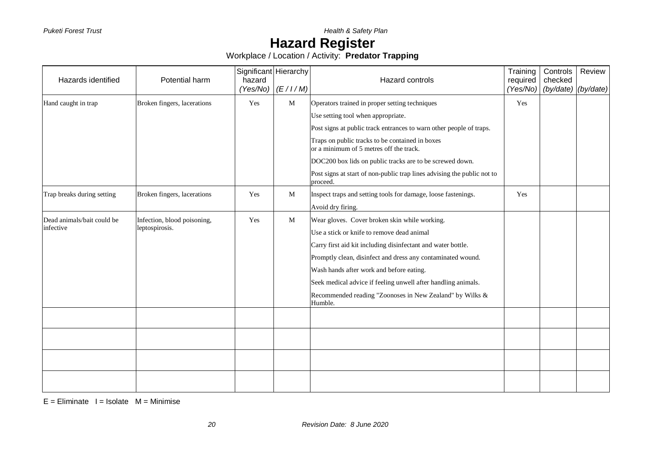# **Hazard Register**

Workplace / Location / Activity: **Predator Trapping**

| Hazards identified         | Potential harm              | Significant Hierarchy<br>hazard<br>(Yes/No) | (E/I/M) | Hazard controls                                                                            | Training<br>required<br>(Yes/No) | Controls<br>checked<br>(by/date) (by/date) | Review |
|----------------------------|-----------------------------|---------------------------------------------|---------|--------------------------------------------------------------------------------------------|----------------------------------|--------------------------------------------|--------|
| Hand caught in trap        | Broken fingers, lacerations | Yes                                         | M       | Operators trained in proper setting techniques                                             | Yes                              |                                            |        |
|                            |                             |                                             |         | Use setting tool when appropriate.                                                         |                                  |                                            |        |
|                            |                             |                                             |         | Post signs at public track entrances to warn other people of traps.                        |                                  |                                            |        |
|                            |                             |                                             |         | Traps on public tracks to be contained in boxes<br>or a minimum of 5 metres off the track. |                                  |                                            |        |
|                            |                             |                                             |         | DOC200 box lids on public tracks are to be screwed down.                                   |                                  |                                            |        |
|                            |                             |                                             |         | Post signs at start of non-public trap lines advising the public not to<br>proceed.        |                                  |                                            |        |
| Trap breaks during setting | Broken fingers, lacerations | Yes                                         | M       | Inspect traps and setting tools for damage, loose fastenings.                              | Yes                              |                                            |        |
|                            |                             |                                             |         | Avoid dry firing.                                                                          |                                  |                                            |        |
| Dead animals/bait could be | Infection, blood poisoning, | Yes                                         | M       | Wear gloves. Cover broken skin while working.                                              |                                  |                                            |        |
| infective                  | leptospirosis.              |                                             |         | Use a stick or knife to remove dead animal                                                 |                                  |                                            |        |
|                            |                             |                                             |         | Carry first aid kit including disinfectant and water bottle.                               |                                  |                                            |        |
|                            |                             |                                             |         | Promptly clean, disinfect and dress any contaminated wound.                                |                                  |                                            |        |
|                            |                             |                                             |         | Wash hands after work and before eating.                                                   |                                  |                                            |        |
|                            |                             |                                             |         | Seek medical advice if feeling unwell after handling animals.                              |                                  |                                            |        |
|                            |                             |                                             |         | Recommended reading "Zoonoses in New Zealand" by Wilks &<br>Humble.                        |                                  |                                            |        |
|                            |                             |                                             |         |                                                                                            |                                  |                                            |        |
|                            |                             |                                             |         |                                                                                            |                                  |                                            |        |
|                            |                             |                                             |         |                                                                                            |                                  |                                            |        |
|                            |                             |                                             |         |                                                                                            |                                  |                                            |        |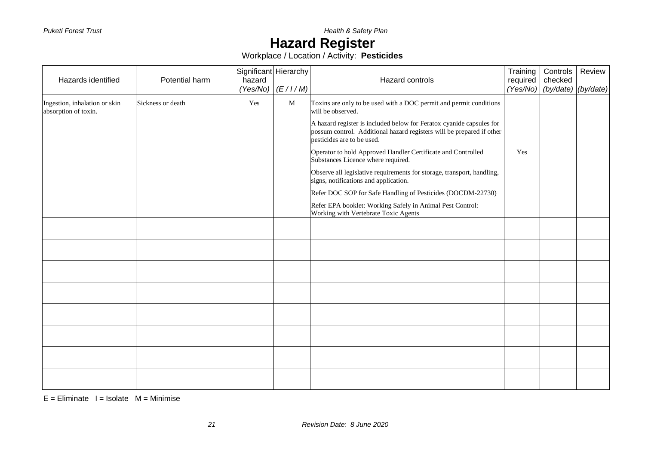### **Hazard Register**

Workplace / Location / Activity: **Pesticides**

|                                                       |                   | Significant Hierarchy |                      |                                                                                                                                                                             | Training | Controls                       | Review |
|-------------------------------------------------------|-------------------|-----------------------|----------------------|-----------------------------------------------------------------------------------------------------------------------------------------------------------------------------|----------|--------------------------------|--------|
| Hazards identified                                    | Potential harm    | hazard                |                      | Hazard controls                                                                                                                                                             | required | checked                        |        |
|                                                       |                   |                       | $(Yes/No)$ $(E/1/M)$ |                                                                                                                                                                             |          | $(Yes/No)$ (by/date) (by/date) |        |
| Ingestion, inhalation or skin<br>absorption of toxin. | Sickness or death | Yes                   | M                    | Toxins are only to be used with a DOC permit and permit conditions<br>will be observed.                                                                                     |          |                                |        |
|                                                       |                   |                       |                      | A hazard register is included below for Feratox cyanide capsules for<br>possum control. Additional hazard registers will be prepared if other<br>pesticides are to be used. |          |                                |        |
|                                                       |                   |                       |                      | Operator to hold Approved Handler Certificate and Controlled<br>Substances Licence where required.                                                                          | Yes      |                                |        |
|                                                       |                   |                       |                      | Observe all legislative requirements for storage, transport, handling,<br>signs, notifications and application.                                                             |          |                                |        |
|                                                       |                   |                       |                      | Refer DOC SOP for Safe Handling of Pesticides (DOCDM-22730)                                                                                                                 |          |                                |        |
|                                                       |                   |                       |                      | Refer EPA booklet: Working Safely in Animal Pest Control:<br>Working with Vertebrate Toxic Agents                                                                           |          |                                |        |
|                                                       |                   |                       |                      |                                                                                                                                                                             |          |                                |        |
|                                                       |                   |                       |                      |                                                                                                                                                                             |          |                                |        |
|                                                       |                   |                       |                      |                                                                                                                                                                             |          |                                |        |
|                                                       |                   |                       |                      |                                                                                                                                                                             |          |                                |        |
|                                                       |                   |                       |                      |                                                                                                                                                                             |          |                                |        |
|                                                       |                   |                       |                      |                                                                                                                                                                             |          |                                |        |
|                                                       |                   |                       |                      |                                                                                                                                                                             |          |                                |        |
|                                                       |                   |                       |                      |                                                                                                                                                                             |          |                                |        |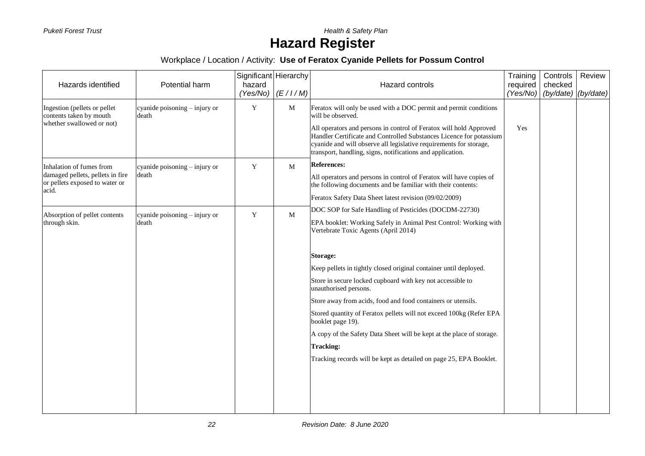**Puketi Forest Trust** *Puketi Forest Trust* 

# **Hazard Register**

#### Workplace / Location / Activity: **Use of Feratox Cyanide Pellets for Possum Control**

| Hazards identified                                                          | Potential harm                           | Significant Hierarchy<br>hazard<br>(Yes/No) | (E/I/M) | Hazard controls                                                                                                                                                                                                                                                               | Training<br>required<br>(Yes/No) | Controls<br>checked<br>(by/date) | Review<br>(by/date) |
|-----------------------------------------------------------------------------|------------------------------------------|---------------------------------------------|---------|-------------------------------------------------------------------------------------------------------------------------------------------------------------------------------------------------------------------------------------------------------------------------------|----------------------------------|----------------------------------|---------------------|
| Ingestion (pellets or pellet<br>contents taken by mouth                     | cyanide poisoning $-$ injury or<br>death | Y                                           | M       | Feratox will only be used with a DOC permit and permit conditions<br>will be observed.                                                                                                                                                                                        |                                  |                                  |                     |
| whether swallowed or not)                                                   |                                          |                                             |         | All operators and persons in control of Feratox will hold Approved<br>Handler Certificate and Controlled Substances Licence for potassium<br>cyanide and will observe all legislative requirements for storage,<br>transport, handling, signs, notifications and application. | Yes                              |                                  |                     |
| Inhalation of fumes from                                                    | cyanide poisoning - injury or            | Y                                           | M       | <b>References:</b>                                                                                                                                                                                                                                                            |                                  |                                  |                     |
| damaged pellets, pellets in fire<br>or pellets exposed to water or<br>acid. | death                                    |                                             |         | All operators and persons in control of Feratox will have copies of<br>the following documents and be familiar with their contents:                                                                                                                                           |                                  |                                  |                     |
|                                                                             |                                          |                                             |         | Feratox Safety Data Sheet latest revision (09/02/2009)                                                                                                                                                                                                                        |                                  |                                  |                     |
| Absorption of pellet contents                                               | cyanide poisoning - injury or            | Y                                           | M       | DOC SOP for Safe Handling of Pesticides (DOCDM-22730)                                                                                                                                                                                                                         |                                  |                                  |                     |
| through skin.                                                               | death                                    |                                             |         | EPA booklet: Working Safely in Animal Pest Control: Working with<br>Vertebrate Toxic Agents (April 2014)                                                                                                                                                                      |                                  |                                  |                     |
|                                                                             |                                          |                                             |         | <b>Storage:</b>                                                                                                                                                                                                                                                               |                                  |                                  |                     |
|                                                                             |                                          |                                             |         | Keep pellets in tightly closed original container until deployed.                                                                                                                                                                                                             |                                  |                                  |                     |
|                                                                             |                                          |                                             |         | Store in secure locked cupboard with key not accessible to<br>unauthorised persons.                                                                                                                                                                                           |                                  |                                  |                     |
|                                                                             |                                          |                                             |         | Store away from acids, food and food containers or utensils.                                                                                                                                                                                                                  |                                  |                                  |                     |
|                                                                             |                                          |                                             |         | Stored quantity of Feratox pellets will not exceed 100kg (Refer EPA<br>booklet page 19).                                                                                                                                                                                      |                                  |                                  |                     |
|                                                                             |                                          |                                             |         | A copy of the Safety Data Sheet will be kept at the place of storage.                                                                                                                                                                                                         |                                  |                                  |                     |
|                                                                             |                                          |                                             |         | <b>Tracking:</b>                                                                                                                                                                                                                                                              |                                  |                                  |                     |
|                                                                             |                                          |                                             |         | Tracking records will be kept as detailed on page 25, EPA Booklet.                                                                                                                                                                                                            |                                  |                                  |                     |
|                                                                             |                                          |                                             |         |                                                                                                                                                                                                                                                                               |                                  |                                  |                     |
|                                                                             |                                          |                                             |         |                                                                                                                                                                                                                                                                               |                                  |                                  |                     |
|                                                                             |                                          |                                             |         |                                                                                                                                                                                                                                                                               |                                  |                                  |                     |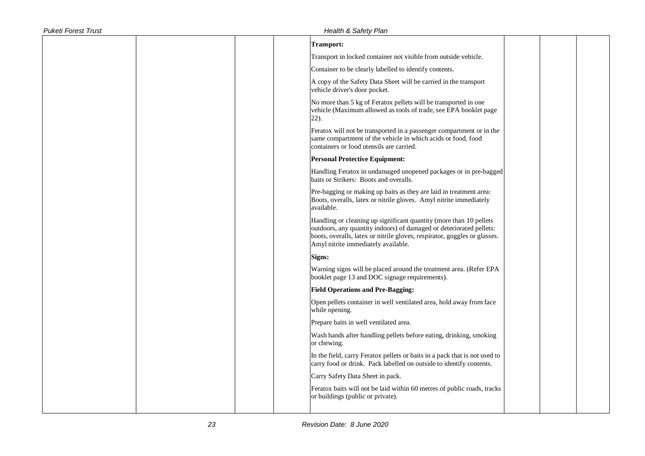| <b>Puketi Forest Trust</b> | <b>Health &amp; Safety Plan</b>                                                                                                                                                                                                                               |  |
|----------------------------|---------------------------------------------------------------------------------------------------------------------------------------------------------------------------------------------------------------------------------------------------------------|--|
|                            | <b>Transport:</b>                                                                                                                                                                                                                                             |  |
|                            | Transport in locked container not visible from outside vehicle.                                                                                                                                                                                               |  |
|                            | Container to be clearly labelled to identify contents.                                                                                                                                                                                                        |  |
|                            | A copy of the Safety Data Sheet will be carried in the transport<br>vehicle driver's door pocket.                                                                                                                                                             |  |
|                            | No more than 5 kg of Feratox pellets will be transported in one<br>vehicle (Maximum allowed as tools of trade, see EPA booklet page<br>22).                                                                                                                   |  |
|                            | Feratox will not be transported in a passenger compartment or in the<br>same compartment of the vehicle in which acids or food, food<br>containers or food utensils are carried.                                                                              |  |
|                            | <b>Personal Protective Equipment:</b>                                                                                                                                                                                                                         |  |
|                            | Handling Feratox in undamaged unopened packages or in pre-bagged<br>baits or Strikers: Boots and overalls.                                                                                                                                                    |  |
|                            | Pre-bagging or making up baits as they are laid in treatment area:<br>Boots, overalls, latex or nitrile gloves. Amyl nitrite immediately<br>available.                                                                                                        |  |
|                            | Handling or cleaning up significant quantity (more than 10 pellets<br>outdoors, any quantity indoors) of damaged or deteriorated pellets:<br>boots, overalls, latex or nitrile gloves, respirator, goggles or glasses.<br>Amyl nitrite immediately available. |  |
|                            | Signs:                                                                                                                                                                                                                                                        |  |
|                            | Warning signs will be placed around the treatment area. (Refer EPA<br>booklet page 13 and DOC signage requirements).                                                                                                                                          |  |
|                            | <b>Field Operations and Pre-Bagging:</b>                                                                                                                                                                                                                      |  |
|                            | Open pellets container in well ventilated area, hold away from face<br>while opening.                                                                                                                                                                         |  |
|                            | Prepare baits in well ventilated area.                                                                                                                                                                                                                        |  |
|                            | Wash hands after handling pellets before eating, drinking, smoking<br>or chewing.                                                                                                                                                                             |  |
|                            | In the field, carry Feratox pellets or baits in a pack that is not used to<br>carry food or drink. Pack labelled on outside to identify contents.                                                                                                             |  |
|                            | Carry Safety Data Sheet in pack.                                                                                                                                                                                                                              |  |
|                            | Feratox baits will not be laid within 60 metres of public roads, tracks<br>or buildings (public or private).                                                                                                                                                  |  |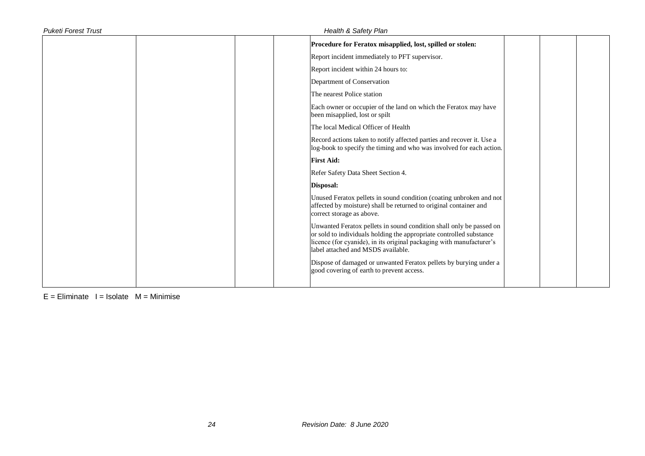| <b>Puketi Forest Trust</b> | Health & Safety Plan                                                                                                                                                                                                                                     |
|----------------------------|----------------------------------------------------------------------------------------------------------------------------------------------------------------------------------------------------------------------------------------------------------|
|                            | Procedure for Feratox misapplied, lost, spilled or stolen:                                                                                                                                                                                               |
|                            | Report incident immediately to PFT supervisor.                                                                                                                                                                                                           |
|                            | Report incident within 24 hours to:                                                                                                                                                                                                                      |
|                            | Department of Conservation                                                                                                                                                                                                                               |
|                            | The nearest Police station                                                                                                                                                                                                                               |
|                            | Each owner or occupier of the land on which the Feratox may have<br>been misapplied, lost or spilt                                                                                                                                                       |
|                            | The local Medical Officer of Health                                                                                                                                                                                                                      |
|                            | Record actions taken to notify affected parties and recover it. Use a<br>log-book to specify the timing and who was involved for each action.                                                                                                            |
|                            | <b>First Aid:</b>                                                                                                                                                                                                                                        |
|                            | Refer Safety Data Sheet Section 4.                                                                                                                                                                                                                       |
|                            | Disposal:                                                                                                                                                                                                                                                |
|                            | Unused Feratox pellets in sound condition (coating unbroken and not<br>affected by moisture) shall be returned to original container and<br>correct storage as above.                                                                                    |
|                            | Unwanted Feratox pellets in sound condition shall only be passed on<br>or sold to individuals holding the appropriate controlled substance<br>licence (for cyanide), in its original packaging with manufacturer's<br>label attached and MSDS available. |
|                            | Dispose of damaged or unwanted Feratox pellets by burying under a<br>good covering of earth to prevent access.                                                                                                                                           |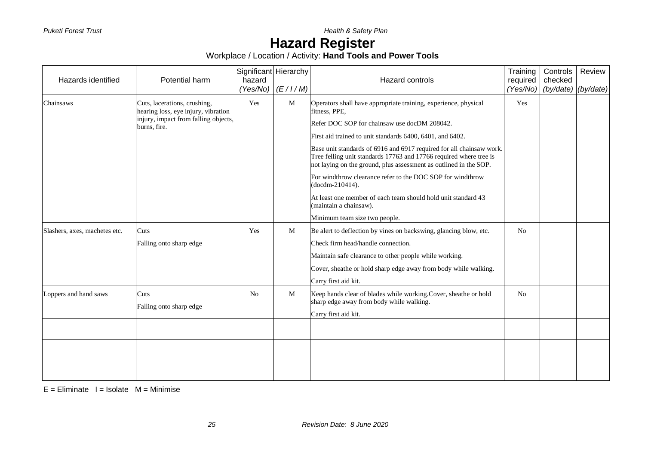**Puketi Forest Trust** *Puketi Forest Trust* 

### **Hazard Register**

Workplace / Location / Activity: **Hand Tools and Power Tools**

| Hazards identified            | Potential harm                                                                                                              | Significant Hierarchy<br>hazard<br>(Yes/No) | (E/I/M) | Hazard controls                                                                                                                                                                                                                                                                                                                                                                                                                                                                                                                                                                                                               | Training<br>required<br>(Yes/No) | Controls<br>checked<br>(by/date) | Review<br>(by/date) |
|-------------------------------|-----------------------------------------------------------------------------------------------------------------------------|---------------------------------------------|---------|-------------------------------------------------------------------------------------------------------------------------------------------------------------------------------------------------------------------------------------------------------------------------------------------------------------------------------------------------------------------------------------------------------------------------------------------------------------------------------------------------------------------------------------------------------------------------------------------------------------------------------|----------------------------------|----------------------------------|---------------------|
| Chainsaws                     | Cuts, lacerations, crushing,<br>hearing loss, eye injury, vibration<br>injury, impact from falling objects,<br>burns, fire. | Yes                                         | M       | Operators shall have appropriate training, experience, physical<br>fitness, PPE,<br>Refer DOC SOP for chainsaw use docDM 208042.<br>First aid trained to unit standards 6400, 6401, and 6402.<br>Base unit standards of 6916 and 6917 required for all chainsaw work.<br>Tree felling unit standards 17763 and 17766 required where tree is<br>not laying on the ground, plus assessment as outlined in the SOP.<br>For windthrow clearance refer to the DOC SOP for windthrow<br>(docdm-210414).<br>At least one member of each team should hold unit standard 43<br>(maintain a chainsaw).<br>Minimum team size two people. | Yes                              |                                  |                     |
| Slashers, axes, machetes etc. | Cuts<br>Falling onto sharp edge                                                                                             | Yes                                         | M       | Be alert to deflection by vines on backswing, glancing blow, etc.<br>Check firm head/handle connection.<br>Maintain safe clearance to other people while working.<br>Cover, sheathe or hold sharp edge away from body while walking.<br>Carry first aid kit.                                                                                                                                                                                                                                                                                                                                                                  | N <sub>0</sub>                   |                                  |                     |
| Loppers and hand saws         | Cuts<br>Falling onto sharp edge                                                                                             | N <sub>0</sub>                              | M       | Keep hands clear of blades while working. Cover, sheathe or hold<br>sharp edge away from body while walking.<br>Carry first aid kit.                                                                                                                                                                                                                                                                                                                                                                                                                                                                                          | N <sub>0</sub>                   |                                  |                     |
|                               |                                                                                                                             |                                             |         |                                                                                                                                                                                                                                                                                                                                                                                                                                                                                                                                                                                                                               |                                  |                                  |                     |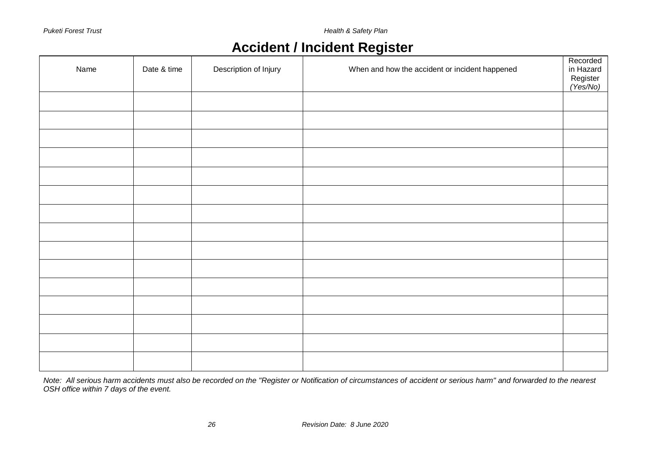**Puketi Forest Trust** *Puketi Forest Trust* 

### **Accident / Incident Register**

| Name | Date & time | Description of Injury | When and how the accident or incident happened | Recorded<br>in Hazard<br>Register<br>(Yes/No) |
|------|-------------|-----------------------|------------------------------------------------|-----------------------------------------------|
|      |             |                       |                                                |                                               |
|      |             |                       |                                                |                                               |
|      |             |                       |                                                |                                               |
|      |             |                       |                                                |                                               |
|      |             |                       |                                                |                                               |
|      |             |                       |                                                |                                               |
|      |             |                       |                                                |                                               |
|      |             |                       |                                                |                                               |
|      |             |                       |                                                |                                               |
|      |             |                       |                                                |                                               |
|      |             |                       |                                                |                                               |
|      |             |                       |                                                |                                               |
|      |             |                       |                                                |                                               |
|      |             |                       |                                                |                                               |
|      |             |                       |                                                |                                               |

*Note: All serious harm accidents must also be recorded on the "Register or Notification of circumstances of accident or serious harm" and forwarded to the nearest OSH office within 7 days of the event.*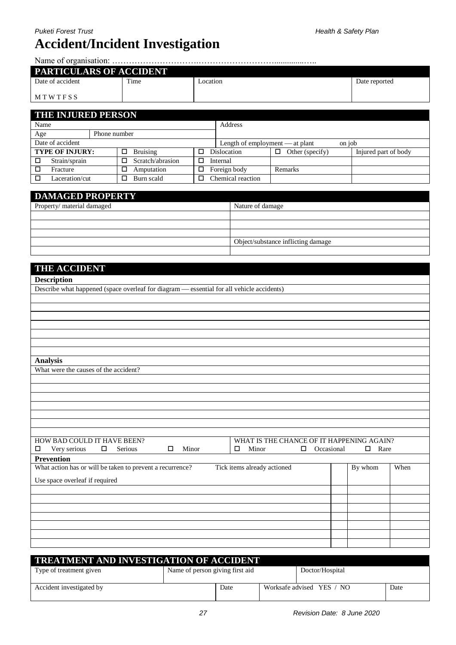Name of organisation: ………………………….………………………..............…..

| <b>PARTICULARS OF ACCIDENT</b> |      |          |               |  |  |  |
|--------------------------------|------|----------|---------------|--|--|--|
| Date of accident               | Time | ocation_ | Date reported |  |  |  |
| MTWTFSS                        |      |          |               |  |  |  |

| <b>THE INJURED PERSON</b> |  |              |                  |  |                                 |                      |                      |
|---------------------------|--|--------------|------------------|--|---------------------------------|----------------------|----------------------|
| Name                      |  |              |                  |  | Address                         |                      |                      |
| Age                       |  | Phone number |                  |  |                                 |                      |                      |
| Date of accident          |  |              |                  |  | Length of employment — at plant |                      | on job               |
| <b>TYPE OF INJURY:</b>    |  | □            | <b>Bruising</b>  |  | <b>Dislocation</b>              | Other (specify)<br>□ | Injured part of body |
| Strain/sprain<br>$\Box$   |  |              | Scratch/abrasion |  | Internal                        |                      |                      |
| $\Box$<br>Fracture        |  |              | Amputation       |  | Foreign body                    | Remarks              |                      |
| Laceration/cut            |  |              | Burn scald       |  | Chemical reaction               |                      |                      |

| <b>DAMAGED PROPERTY</b>    |                                    |
|----------------------------|------------------------------------|
| Property/ material damaged | Nature of damage                   |
|                            |                                    |
|                            |                                    |
|                            |                                    |
|                            | Object/substance inflicting damage |
|                            |                                    |

| <b>THE ACCIDENT</b>                                                                             |             |      |
|-------------------------------------------------------------------------------------------------|-------------|------|
| <b>Description</b>                                                                              |             |      |
| Describe what happened (space overleaf for diagram - essential for all vehicle accidents)       |             |      |
|                                                                                                 |             |      |
|                                                                                                 |             |      |
|                                                                                                 |             |      |
|                                                                                                 |             |      |
|                                                                                                 |             |      |
|                                                                                                 |             |      |
| <b>Analysis</b>                                                                                 |             |      |
| What were the causes of the accident?                                                           |             |      |
|                                                                                                 |             |      |
|                                                                                                 |             |      |
|                                                                                                 |             |      |
|                                                                                                 |             |      |
|                                                                                                 |             |      |
|                                                                                                 |             |      |
| HOW BAD COULD IT HAVE BEEN?<br>WHAT IS THE CHANCE OF IT HAPPENING AGAIN?                        |             |      |
| Occasional<br>Very serious<br>$\Box$<br>Serious<br>$\Box$<br>Minor<br>Minor<br>$\Box$<br>□<br>□ | $\Box$ Rare |      |
| <b>Prevention</b>                                                                               |             |      |
| What action has or will be taken to prevent a recurrence?<br>Tick items already actioned        | By whom     | When |
| Use space overleaf if required                                                                  |             |      |
|                                                                                                 |             |      |
|                                                                                                 |             |      |
|                                                                                                 |             |      |
|                                                                                                 |             |      |
|                                                                                                 |             |      |
|                                                                                                 |             |      |
|                                                                                                 |             |      |
|                                                                                                 |             |      |

| <b>TREATMENT AND INVESTIGATION OF ACCIDENT</b> |                                 |      |  |                           |      |  |  |
|------------------------------------------------|---------------------------------|------|--|---------------------------|------|--|--|
| Type of treatment given                        | Name of person giving first aid |      |  | Doctor/Hospital           |      |  |  |
| Accident investigated by                       |                                 | Date |  | Worksafe advised YES / NO | Date |  |  |
|                                                |                                 |      |  |                           |      |  |  |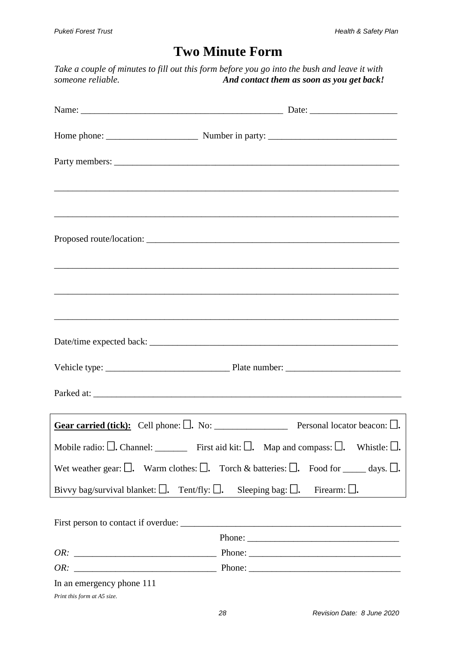### **Two Minute Form**

*Take a couple of minutes to fill out this form before you go into the bush and leave it with someone reliable. And contact them as soon as you get back!*

|                                                                                                  | Parked at:                                                                                                                 |
|--------------------------------------------------------------------------------------------------|----------------------------------------------------------------------------------------------------------------------------|
|                                                                                                  |                                                                                                                            |
|                                                                                                  | Mobile radio: $\square$ . Channel: __________ First aid kit: $\square$ . Map and compass: $\square$ . Whistle: $\square$ . |
|                                                                                                  | Wet weather gear: $\Box$ . Warm clothes: $\Box$ . Torch & batteries: $\Box$ . Food for _____ days. $\Box$ .                |
| Bivvy bag/survival blanket: $\Box$ . Tent/fly: $\Box$ . Sleeping bag: $\Box$ . Firearm: $\Box$ . |                                                                                                                            |
|                                                                                                  |                                                                                                                            |
|                                                                                                  | Phone:                                                                                                                     |
|                                                                                                  |                                                                                                                            |
|                                                                                                  |                                                                                                                            |
| In an emergency phone 111<br>Print this form at A5 size.                                         |                                                                                                                            |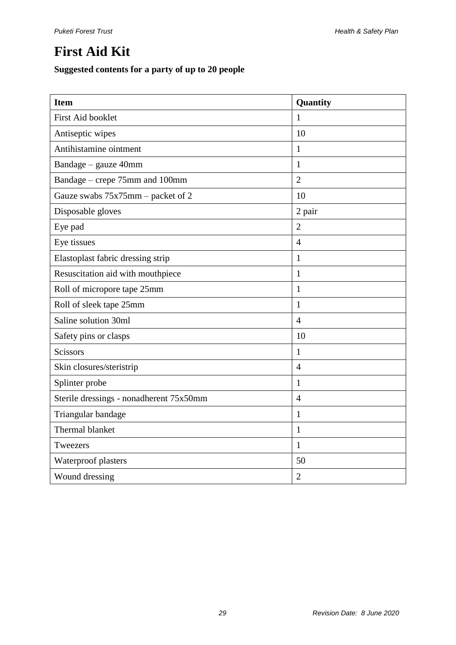### **First Aid Kit**

#### **Suggested contents for a party of up to 20 people**

| <b>Item</b>                             | Quantity       |
|-----------------------------------------|----------------|
| <b>First Aid booklet</b>                | 1              |
| Antiseptic wipes                        | 10             |
| Antihistamine ointment                  | 1              |
| Bandage - gauze 40mm                    | $\mathbf{1}$   |
| Bandage – crepe 75mm and 100mm          | $\overline{2}$ |
| Gauze swabs 75x75mm – packet of 2       | 10             |
| Disposable gloves                       | 2 pair         |
| Eye pad                                 | $\overline{2}$ |
| Eye tissues                             | $\overline{4}$ |
| Elastoplast fabric dressing strip       | $\mathbf{1}$   |
| Resuscitation aid with mouthpiece       | $\mathbf{1}$   |
| Roll of micropore tape 25mm             | $\mathbf{1}$   |
| Roll of sleek tape 25mm                 | $\mathbf{1}$   |
| Saline solution 30ml                    | $\overline{4}$ |
| Safety pins or clasps                   | 10             |
| <b>Scissors</b>                         | $\mathbf{1}$   |
| Skin closures/steristrip                | $\overline{4}$ |
| Splinter probe                          | $\mathbf{1}$   |
| Sterile dressings - nonadherent 75x50mm | $\overline{4}$ |
| Triangular bandage                      | $\mathbf{1}$   |
| Thermal blanket                         | $\mathbf{1}$   |
| Tweezers                                | $\mathbf{1}$   |
| Waterproof plasters                     | 50             |
| Wound dressing                          | $\overline{2}$ |